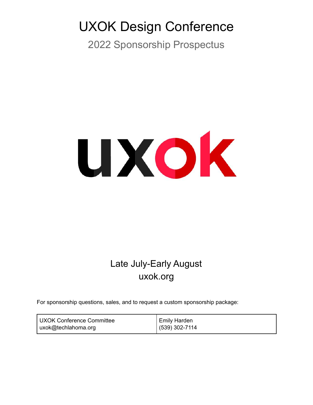# UXOK Design Conference

2022 Sponsorship Prospectus



# Late July-Early August uxok.org

For sponsorship questions, sales, and to request a custom sponsorship package:

| UXOK Conference Committee | <b>Emily Harden</b>  |
|---------------------------|----------------------|
| uxok@techlahoma.org       | ا 302-7114) 302-7114 |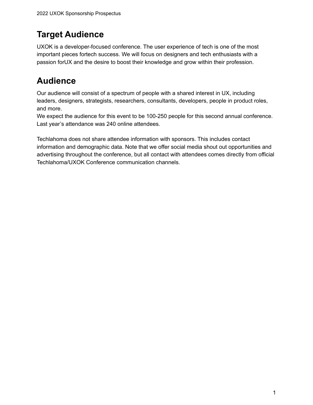# **Target Audience**

UXOK is a developer-focused conference. The user experience of tech is one of the most important pieces fortech success. We will focus on designers and tech enthusiasts with a passion forUX and the desire to boost their knowledge and grow within their profession.

# **Audience**

Our audience will consist of a spectrum of people with a shared interest in UX, including leaders, designers, strategists, researchers, consultants, developers, people in product roles, and more.

We expect the audience for this event to be 100-250 people for this second annual conference. Last year's attendance was 240 online attendees.

Techlahoma does not share attendee information with sponsors. This includes contact information and demographic data. Note that we offer social media shout out opportunities and advertising throughout the conference, but all contact with attendees comes directly from official Techlahoma/UXOK Conference communication channels.